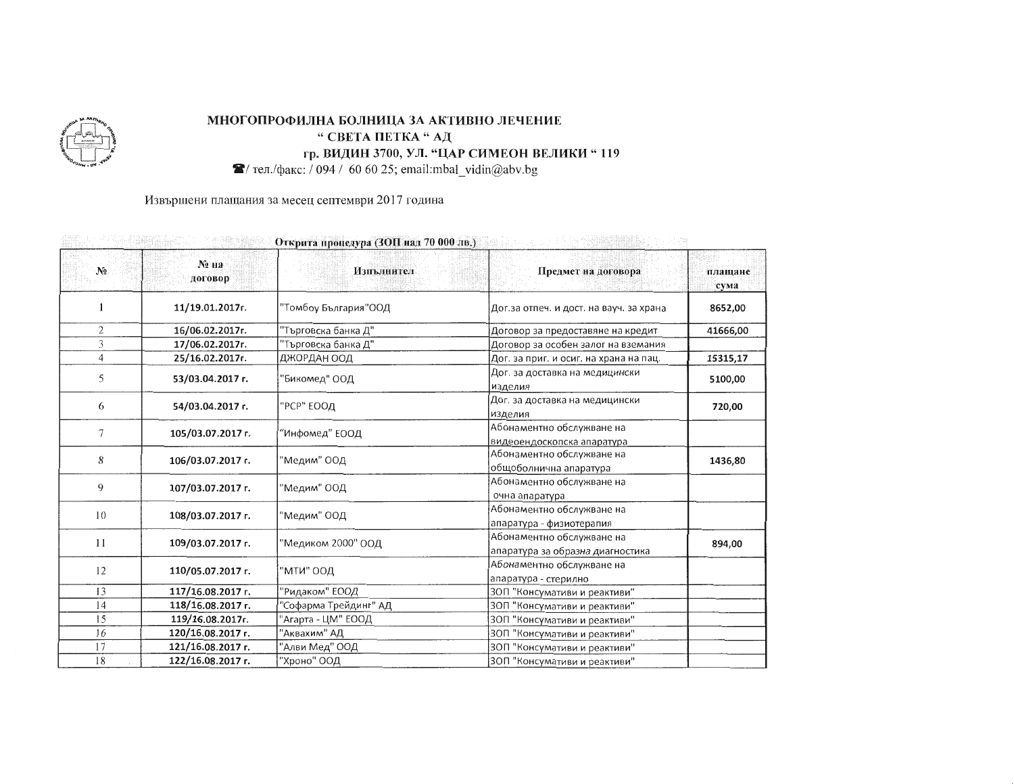

## МНОГОПРОФИЛНА БОЛНИЦА ЗА АКТИВНО ЛЕЧЕНИЕ " СВЕТА ПЕТКА " АД гр. ВИДИН 3700, УЛ. "ЦАР СИМЕОН ВЕЛИКИ "119

 $\mathcal{R}/$  тел./факс: / 094 / 60 60 25; email:mbal\_vidin@abv.bg

Извършени плащания за месец септември 2017 година

| Открита процедура (SOTE над 70 000 лв.) |                   |                       |                                                               |                 |  |  |
|-----------------------------------------|-------------------|-----------------------|---------------------------------------------------------------|-----------------|--|--|
| $N_2$                                   | № на<br>договор   | Изпълнител            | Предмет на договора                                           | плащане<br>сума |  |  |
|                                         | 11/19.01.2017r.   | "Томбоу България"ООД  | Дог.за отпеч. и дост. на вауч. за храна                       | 8652,00         |  |  |
| $\overline{2}$                          | 16/06.02.2017r.   | "Търговска банка Д"   | Договор за предоставяне на кредит                             | 41666,00        |  |  |
| 3                                       | 17/06.02.2017r.   | "Търговска банка Д"   | Договор за особен залог на вземания                           |                 |  |  |
| $\overline{4}$                          | 25/16.02.2017r.   | ДЖОРДАН ООД           | Дог. за приг. и осиг. на храна на пац.                        | 15315,17        |  |  |
| 5                                       | 53/03.04.2017 г.  | "Бикомед" ООД         | Дог. за доставка на медицински<br>изделия                     | 5100,00         |  |  |
| 6                                       | 54/03.04.2017 r.  | "РСР" ЕООД            | Дог. за доставка на медицински<br>изделия                     | 720,00          |  |  |
| 7                                       | 105/03.07.2017 г. | "Инфомед" ЕООД        | Абонаментно обслужване на<br>видеоендоскопска апаратура       |                 |  |  |
| 8                                       | 106/03.07.2017 r. | "Медим" ООД           | Абонаментно обслужване на<br>общоболнична апаратура           | 1436,80         |  |  |
| 9                                       | 107/03.07.2017 г. | "Медим" ООД           | Абонаментно обслужване на<br>очна апаратура                   |                 |  |  |
| 10                                      | 108/03.07.2017 г. | "Медим" ООД           | Абонаментно обслужване на<br>апаратура - физиотерапия         |                 |  |  |
| 11                                      | 109/03.07.2017 г. | "Медиком 2000" ООД    | Абонаментно обслужване на<br>апаратура за образна диагностика | 894,00          |  |  |
| 12                                      | 110/05.07.2017 r. | "мти" оод             | Абонаментно обслужване на<br>апаратура - стерилно             |                 |  |  |
| 13                                      | 117/16.08.2017 г. | "Ридаком" ЕООД        | ЗОП "Консумативи и реактиви"                                  |                 |  |  |
| 14                                      | 118/16.08.2017 г. | "Софарма Трейдинг" АД | ЗОП "Консумативи и реактиви"                                  |                 |  |  |
| 15                                      | 119/16.08.2017r.  | "Агарта - ЦМ" ЕООД    | ЗОП "Консумативи и реактиви"                                  |                 |  |  |
| 16                                      | 120/16.08.2017 г. | "Аквахим" АД          | ЗОП "Консумативи и реактиви"                                  |                 |  |  |
| 17                                      | 121/16.08.2017 г. | "Алви Мед" ООД        | ЗОП "Консумативи и реактиви"                                  |                 |  |  |
| 18                                      | 122/16.08.2017 r. | "Хроно" ООЛ           | ЗОП "Консумативи и реактиви"                                  |                 |  |  |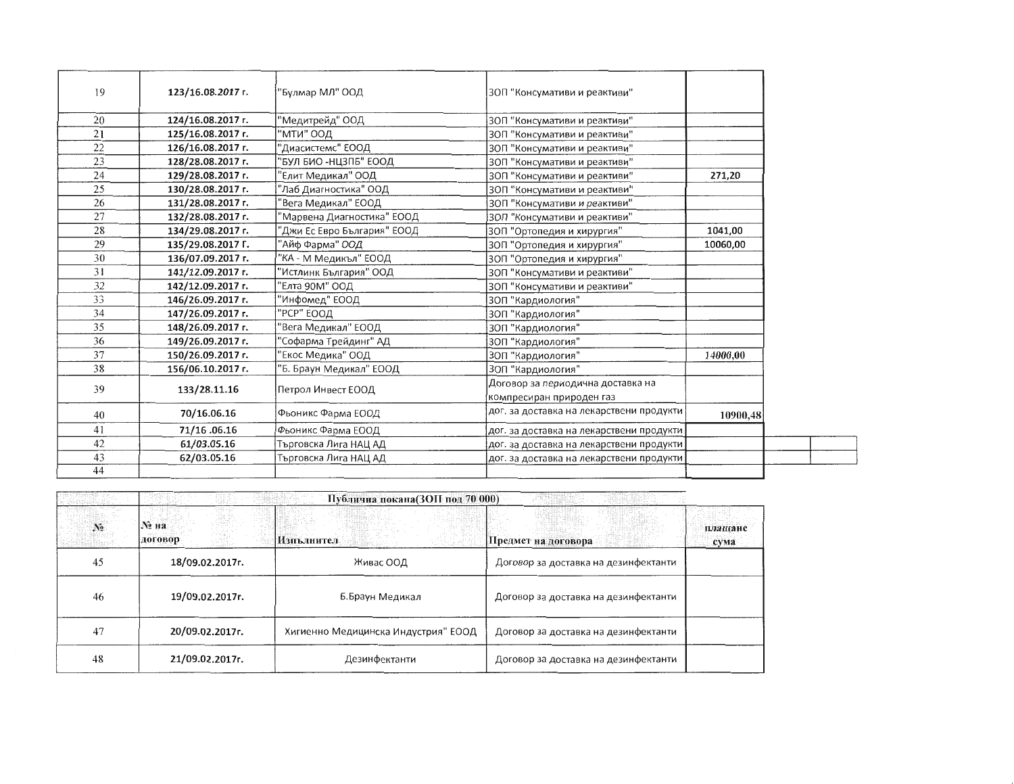| 19 | 123/16.08.2017 r. | "Булмар МЛ" ООД             | ЗОП "Консумативи и реактиви"             |          |
|----|-------------------|-----------------------------|------------------------------------------|----------|
| 20 | 124/16.08.2017 r. | "Медитрейд" ООД             | ЗОП "Консумативи и реактиви"             |          |
| 21 | 125/16.08.2017 г. | МТИ" ООД                    | ЗОП "Консумативи и реактиви"             |          |
| 22 | 126/16.08.2017 г. | "Диасистемс" ЕООД           | ЗОП "Консумативи и реактиви"             |          |
| 23 | 128/28.08.2017 r. | "БУЛ БИО -НЦЗПБ" ЕООД       | ЗОП "Консумативи и реактиви"             |          |
| 24 | 129/28.08.2017 r. | "Елит Медикал" ООД          | ЗОП "Консумативи и реактиви"             | 271,20   |
| 25 | 130/28.08.2017 r. | "Лаб Диагностика" ООД       | ЗОП "Консумативи и реактиви"             |          |
| 26 | 131/28.08.2017 r. | "Вега Медикал" ЕООД         | ЗОП "Консумативи и реактиви"             |          |
| 27 | 132/28.08.2017 r. | "Марвена Диагностика" ЕООД  | ЗОП "Консумативи и реактиви"             |          |
| 28 | 134/29.08.2017 r. | "Джи Ес Евро България" ЕООД | 3ОП "Ортопедия и хирургия"               | 1041,00  |
| 29 | 135/29.08.2017 F. | "Айф Фарма" ООД             | 3ОП "Ортопедия и хирургия"               | 10060,00 |
| 30 | 136/07.09.2017 г. | "КА - М Медикъл" ЕООД       | 3ОП "Ортопедия и хирургия"               |          |
| 31 | 141/12.09.2017 г. | "Истлинк България" ООД      | ЗОП "Консумативи и реактиви"             |          |
| 32 | 142/12.09.2017 r. | "Елта 90М" ООД              | ЗОП "Консумативи и реактиви"             |          |
| 33 | 146/26.09.2017 г. | "Инфомед" ЕООД              | 3ОП "Кардиология"                        |          |
| 34 | 147/26.09.2017 г. | "РСР" ЕООД                  | ЗОП "Кардиология"                        |          |
| 35 | 148/26.09.2017 г. | 'Вега Медикал" ЕООД         | ЗОП "Кардиология"                        |          |
| 36 | 149/26.09.2017 r. | 'Софарма Трейдинг" АД       | ЗОП "Кардиология"                        |          |
| 37 | 150/26.09.2017 r. | 'Екос Медика" ООД           | ЗОП "Кардиология"                        | 14000.00 |
| 38 | 156/06.10.2017 r. | 5. Браун Медикал" ЕООД      | ЗОП "Кардиология"                        |          |
|    | 133/28.11.16      | Петрол Инвест ЕООД          | Договор за периодична доставка на        |          |
| 39 |                   |                             | компресиран природен газ                 |          |
| 40 | 70/16.06.16       | Фьоникс Фарма ЕООД          | дог. за доставка на лекарствени продукти | 10900,48 |
| 41 | 71/16.06.16       | Фьоникс Фарма ЕООД          | дог. за доставка на лекарствени продукти |          |
| 42 | 61/03.05.16       | Търговска Лига НАЦ АД       | дог. за доставка на лекарствени продукти |          |
| 43 | 62/03.05.16       | Търговска Лига НАЦ АД       | дог. за доставка на лекарствени продукти |          |
| 44 |                   |                             |                                          |          |

|       | Публична покана(ЗОП под 70 000) |                                     |                                      |                 |  |
|-------|---------------------------------|-------------------------------------|--------------------------------------|-----------------|--|
| $N_2$ | № на<br>договор                 | Изпълнител                          | Предмет на договора                  | плащане<br>сума |  |
| 45    | 18/09.02.2017r.                 | Живас ООД                           | Договор за доставка на дезинфектанти |                 |  |
| 46    | 19/09.02.2017r.                 | Б.Браун Медикал                     | Договор за доставка на дезинфектанти |                 |  |
| 47    | 20/09.02.2017r.                 | Хигиенно Медицинска Индустрия" ЕООД | Договор за доставка на дезинфектанти |                 |  |
| 48    | 21/09.02.2017r.                 | Дезинфектанти                       | Договор за доставка на дезинфектанти |                 |  |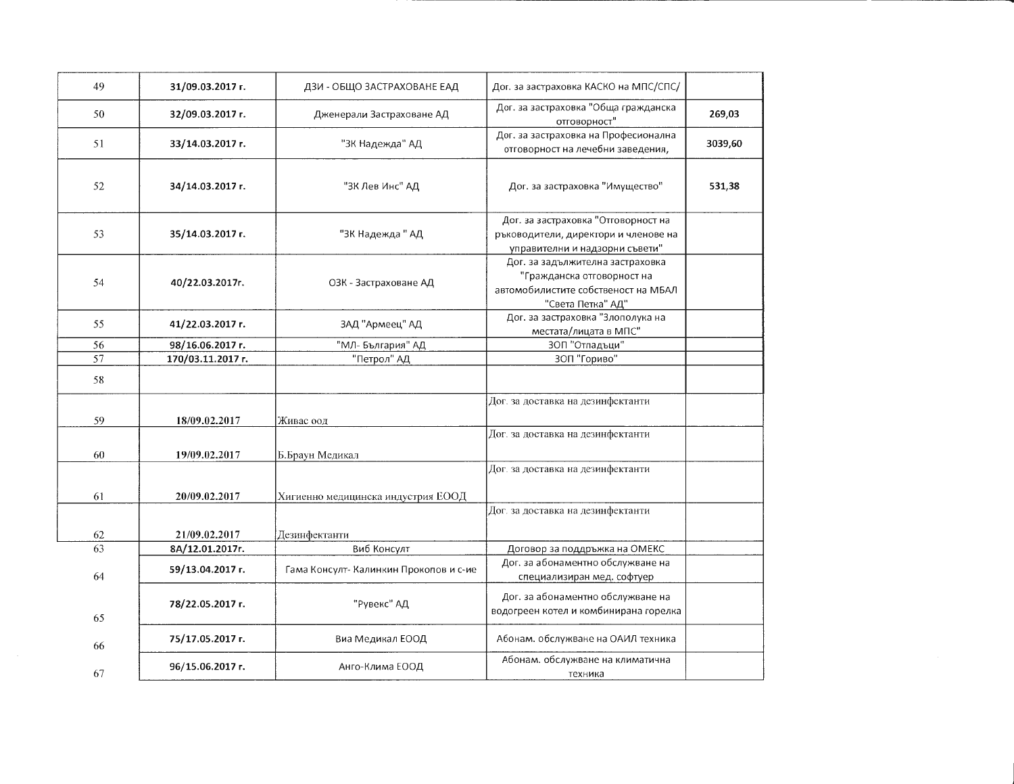| 49       | 31/09.03.2017 г.                 | ДЗИ - ОБЩО ЗАСТРАХОВАНЕ ЕАД            | Дог. за застраховка КАСКО на МПС/СПС/                                                                                      |         |
|----------|----------------------------------|----------------------------------------|----------------------------------------------------------------------------------------------------------------------------|---------|
| 50       | 32/09.03.2017 г.                 | Дженерали Застраховане АД              | Дог. за застраховка "Обща гражданска<br>отговорност"                                                                       | 269,03  |
| 51       | 33/14.03.2017 г.                 | "ЗК Надежда" АД                        | Дог. за застраховка на Професионална<br>отговорност на лечебни заведения,                                                  | 3039,60 |
| 52       | 34/14.03.2017 г.                 | "ЗК Лев Инс" АД                        | Дог. за застраховка "Имущество"                                                                                            | 531,38  |
| 53       | 35/14.03.2017 г.                 | "ЗК Надежда" АД                        | Дог. за застраховка "Отговорност на<br>ръководители, директори и членове на<br>управителни и надзорни съвети"              |         |
| 54       | 40/22.03.2017r.                  | ОЗК - Застраховане АД                  | Дог. за задължителна застраховка<br>"Гражданска отговорност на<br>автомобилистите собственост на МБАЛ<br>"Света Петка" АД" |         |
| 55       | 41/22.03.2017 r.                 | ЗАД "Армеец" АД                        | Дог. за застраховка "Злополука на<br>местата/лицата в МПС"                                                                 |         |
| 56       | 98/16.06.2017 г.                 | "МЛ- България" АД                      | 3ОП "Отпадъци"                                                                                                             |         |
| 57       | 170/03.11.2017 r.                | "Петрол" АД                            | ЗОП "Гориво"                                                                                                               |         |
| 58       |                                  |                                        |                                                                                                                            |         |
| 59       | 18/09.02.2017                    | Живас оод                              | Дог. за доставка на дезинфектанти                                                                                          |         |
| 60       | 19/09.02.2017                    | Б.Браун Медикал                        | Дог. за доставка на дезинфектанти                                                                                          |         |
| 61       | 20/09.02.2017                    | Хигиенно медицинска индустрия ЕООД     | Дог. за доставка на дезинфектанти                                                                                          |         |
|          |                                  |                                        | Дог. за доставка на дезинфектанти                                                                                          |         |
| 62<br>63 | 21/09.02.2017<br>8A/12.01.2017r. | Дезинфектанти<br>Виб Консулт           |                                                                                                                            |         |
|          |                                  |                                        | Договор за поддръжка на ОМЕКС<br>Дог. за абонаментно обслужване на                                                         |         |
| 64       | 59/13.04.2017 г.                 | Гама Консулт- Калинкин Прокопов и с-ие | специализиран мед. софтуер                                                                                                 |         |
| 65       | 78/22.05.2017 г.                 | "Рувекс" АД                            | Дог. за абонаментно обслужване на<br>водогреен котел и комбинирана горелка                                                 |         |
| 66       | 75/17.05.2017 г.                 | Виа Медикал ЕООД                       | Абонам. обслужване на ОАИЛ техника                                                                                         |         |
| 67       | 96/15.06.2017 r.                 | Анго-Клима ЕООД                        | Абонам. обслужване на климатична<br>техника                                                                                |         |